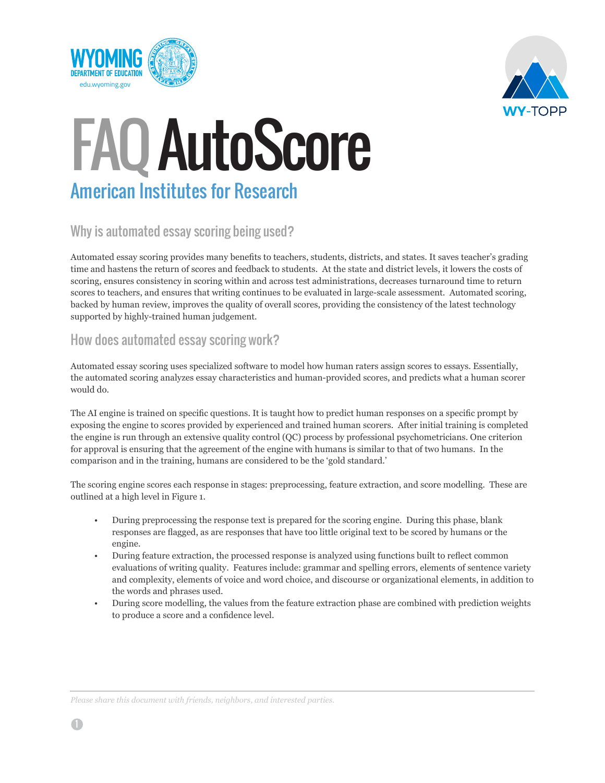



## FAQ AutoScore American Institutes for Research

### Why is automated essay scoring being used?

Automated essay scoring provides many benefits to teachers, students, districts, and states. It saves teacher's grading time and hastens the return of scores and feedback to students. At the state and district levels, it lowers the costs of scoring, ensures consistency in scoring within and across test administrations, decreases turnaround time to return scores to teachers, and ensures that writing continues to be evaluated in large-scale assessment. Automated scoring, backed by human review, improves the quality of overall scores, providing the consistency of the latest technology supported by highly-trained human judgement.

#### How does automated essay scoring work?

Automated essay scoring uses specialized software to model how human raters assign scores to essays. Essentially, the automated scoring analyzes essay characteristics and human-provided scores, and predicts what a human scorer would do.

The AI engine is trained on specific questions. It is taught how to predict human responses on a specific prompt by exposing the engine to scores provided by experienced and trained human scorers. After initial training is completed the engine is run through an extensive quality control (QC) process by professional psychometricians. One criterion for approval is ensuring that the agreement of the engine with humans is similar to that of two humans. In the comparison and in the training, humans are considered to be the 'gold standard.'

The scoring engine scores each response in stages: preprocessing, feature extraction, and score modelling. These are outlined at a high level in Figure 1.

- During preprocessing the response text is prepared for the scoring engine. During this phase, blank responses are flagged, as are responses that have too little original text to be scored by humans or the engine.
- During feature extraction, the processed response is analyzed using functions built to reflect common evaluations of writing quality. Features include: grammar and spelling errors, elements of sentence variety and complexity, elements of voice and word choice, and discourse or organizational elements, in addition to the words and phrases used.
- During score modelling, the values from the feature extraction phase are combined with prediction weights to produce a score and a confidence level.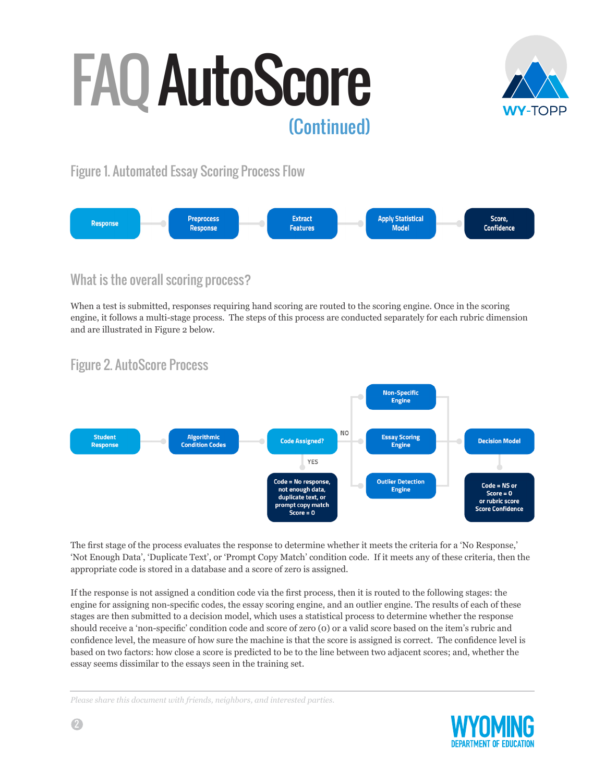

Figure 1. Automated Essay Scoring Process Flow



### What is the overall scoring process?

When a test is submitted, responses requiring hand scoring are routed to the scoring engine. Once in the scoring engine, it follows a multi-stage process. The steps of this process are conducted separately for each rubric dimension and are illustrated in Figure 2 below.

## Figure 2. AutoScore Process



The first stage of the process evaluates the response to determine whether it meets the criteria for a 'No Response,' 'Not Enough Data', 'Duplicate Text', or 'Prompt Copy Match' condition code. If it meets any of these criteria, then the appropriate code is stored in a database and a score of zero is assigned.

If the response is not assigned a condition code via the first process, then it is routed to the following stages: the engine for assigning non-specific codes, the essay scoring engine, and an outlier engine. The results of each of these stages are then submitted to a decision model, which uses a statistical process to determine whether the response should receive a 'non-specific' condition code and score of zero (0) or a valid score based on the item's rubric and confidence level, the measure of how sure the machine is that the score is assigned is correct. The confidence level is based on two factors: how close a score is predicted to be to the line between two adjacent scores; and, whether the essay seems dissimilar to the essays seen in the training set.

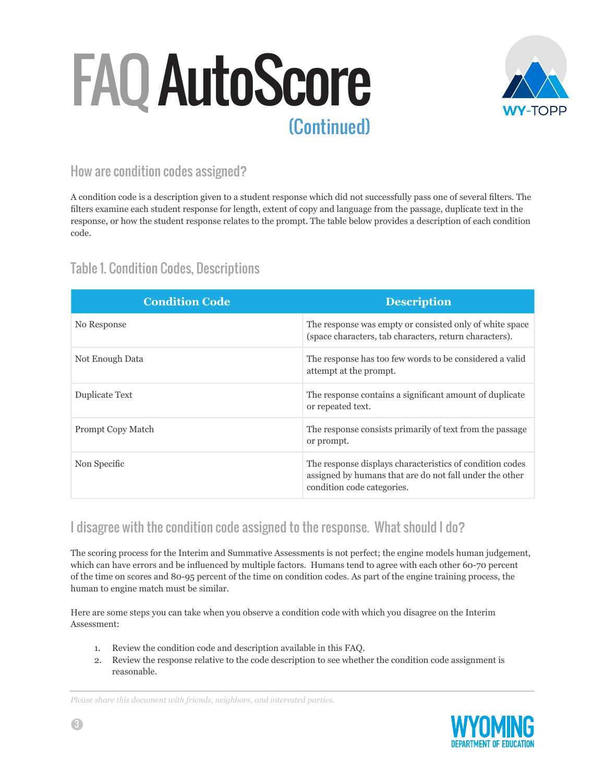

#### How are condition codes assigned?

A condition code is a description given to a student response which did not successfully pass one of several filters. The filters examine each student response for length, extent of copy and language from the passage, duplicate text in the response, or how the student response relates to the prompt. The table below provides a description of each condition code.

### Table 1. Condition Codes, Descriptions

| <b>Condition Code</b> | <b>Description</b>                                                                                                                                |
|-----------------------|---------------------------------------------------------------------------------------------------------------------------------------------------|
| No Response           | The response was empty or consisted only of white space<br>(space characters, tab characters, return characters).                                 |
| Not Enough Data       | The response has too few words to be considered a valid<br>attempt at the prompt.                                                                 |
| Duplicate Text        | The response contains a significant amount of duplicate<br>or repeated text.                                                                      |
| Prompt Copy Match     | The response consists primarily of text from the passage<br>or prompt.                                                                            |
| Non Specific          | The response displays characteristics of condition codes<br>assigned by humans that are do not fall under the other<br>condition code categories. |

#### I disagree with the condition code assigned to the response. What should I do?

The scoring process for the Interim and Summative Assessments is not perfect; the engine models human judgement, which can have errors and be influenced by multiple factors. Humans tend to agree with each other 60-70 percent of the time on scores and 80-95 percent of the time on condition codes. As part of the engine training process, the human to engine match must be similar.

Here are some steps you can take when you observe a condition code with which you disagree on the Interim Assessment:

- 1. Review the condition code and description available in this FAQ.
- 2. Review the response relative to the code description to see whether the condition code assignment is reasonable.

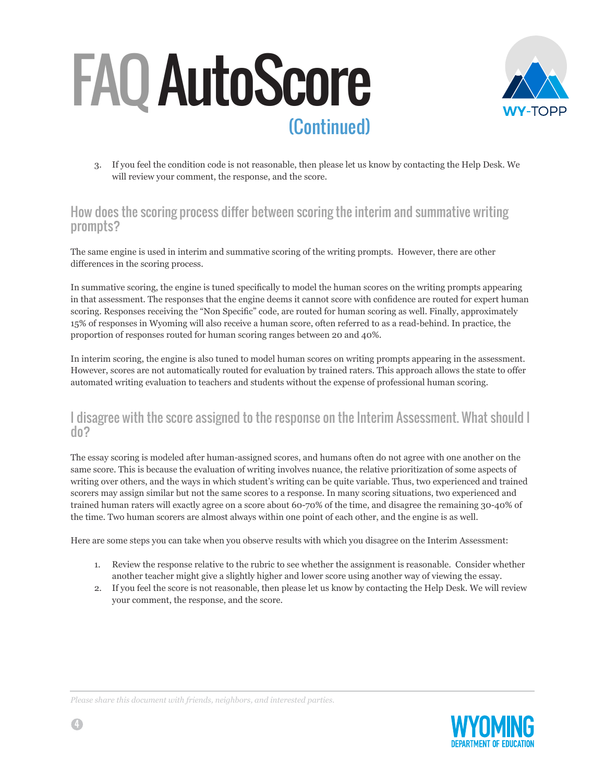

3. If you feel the condition code is not reasonable, then please let us know by contacting the Help Desk. We will review your comment, the response, and the score.

#### How does the scoring process differ between scoring the interim and summative writing prompts?

The same engine is used in interim and summative scoring of the writing prompts. However, there are other differences in the scoring process.

In summative scoring, the engine is tuned specifically to model the human scores on the writing prompts appearing in that assessment. The responses that the engine deems it cannot score with confidence are routed for expert human scoring. Responses receiving the "Non Specific" code, are routed for human scoring as well. Finally, approximately 15% of responses in Wyoming will also receive a human score, often referred to as a read-behind. In practice, the proportion of responses routed for human scoring ranges between 20 and 40%.

In interim scoring, the engine is also tuned to model human scores on writing prompts appearing in the assessment. However, scores are not automatically routed for evaluation by trained raters. This approach allows the state to offer automated writing evaluation to teachers and students without the expense of professional human scoring.

#### I disagree with the score assigned to the response on the Interim Assessment. What should I do?

The essay scoring is modeled after human-assigned scores, and humans often do not agree with one another on the same score. This is because the evaluation of writing involves nuance, the relative prioritization of some aspects of writing over others, and the ways in which student's writing can be quite variable. Thus, two experienced and trained scorers may assign similar but not the same scores to a response. In many scoring situations, two experienced and trained human raters will exactly agree on a score about 60-70% of the time, and disagree the remaining 30-40% of the time. Two human scorers are almost always within one point of each other, and the engine is as well.

Here are some steps you can take when you observe results with which you disagree on the Interim Assessment:

- 1. Review the response relative to the rubric to see whether the assignment is reasonable. Consider whether another teacher might give a slightly higher and lower score using another way of viewing the essay.
- 2. If you feel the score is not reasonable, then please let us know by contacting the Help Desk. We will review your comment, the response, and the score.